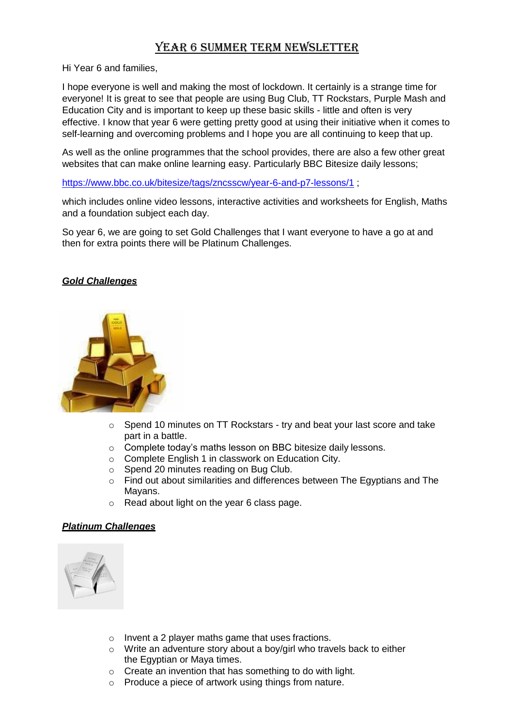## Year 6 Summer Term Newsletter

Hi Year 6 and families,

I hope everyone is well and making the most of lockdown. It certainly is a strange time for everyone! It is great to see that people are using Bug Club, TT Rockstars, Purple Mash and Education City and is important to keep up these basic skills - little and often is very effective. I know that year 6 were getting pretty good at using their initiative when it comes to self-learning and overcoming problems and I hope you are all continuing to keep that up.

As well as the online programmes that the school provides, there are also a few other great websites that can make online learning easy. Particularly BBC Bitesize daily lessons;

<https://www.bbc.co.uk/bitesize/tags/zncsscw/year-6-and-p7-lessons/1> ;

which includes online video lessons, interactive activities and worksheets for English, Maths and a foundation subject each day.

So year 6, we are going to set Gold Challenges that I want everyone to have a go at and then for extra points there will be Platinum Challenges.

## *Gold Challenges*



- o Spend 10 minutes on TT Rockstars try and beat your last score and take part in a battle.
- o Complete today's maths lesson on BBC bitesize daily lessons.
- o Complete English 1 in classwork on Education City.
- o Spend 20 minutes reading on Bug Club.
- o Find out about similarities and differences between The Egyptians and The Mayans.
- o Read about light on the year 6 class page.

## *Platinum Challenges*



- o Invent a 2 player maths game that uses fractions.
- o Write an adventure story about a boy/girl who travels back to either the Egyptian or Maya times.
- o Create an invention that has something to do with light.
- o Produce a piece of artwork using things from nature.